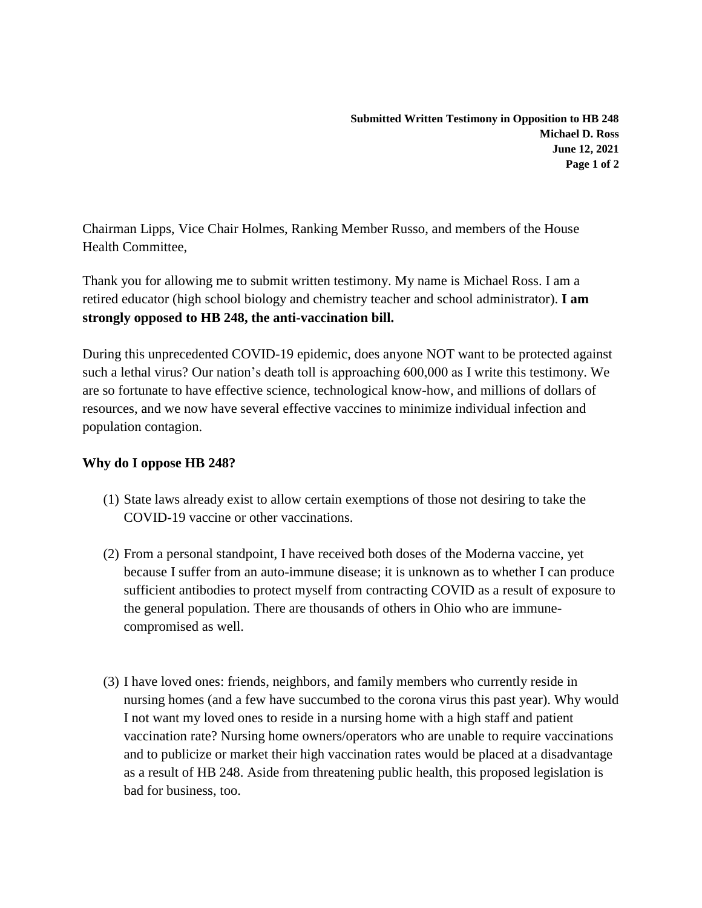Chairman Lipps, Vice Chair Holmes, Ranking Member Russo, and members of the House Health Committee,

Thank you for allowing me to submit written testimony. My name is Michael Ross. I am a retired educator (high school biology and chemistry teacher and school administrator). **I am strongly opposed to HB 248, the anti-vaccination bill.**

During this unprecedented COVID-19 epidemic, does anyone NOT want to be protected against such a lethal virus? Our nation's death toll is approaching 600,000 as I write this testimony. We are so fortunate to have effective science, technological know-how, and millions of dollars of resources, and we now have several effective vaccines to minimize individual infection and population contagion.

## **Why do I oppose HB 248?**

- (1) State laws already exist to allow certain exemptions of those not desiring to take the COVID-19 vaccine or other vaccinations.
- (2) From a personal standpoint, I have received both doses of the Moderna vaccine, yet because I suffer from an auto-immune disease; it is unknown as to whether I can produce sufficient antibodies to protect myself from contracting COVID as a result of exposure to the general population. There are thousands of others in Ohio who are immunecompromised as well.
- (3) I have loved ones: friends, neighbors, and family members who currently reside in nursing homes (and a few have succumbed to the corona virus this past year). Why would I not want my loved ones to reside in a nursing home with a high staff and patient vaccination rate? Nursing home owners/operators who are unable to require vaccinations and to publicize or market their high vaccination rates would be placed at a disadvantage as a result of HB 248. Aside from threatening public health, this proposed legislation is bad for business, too.